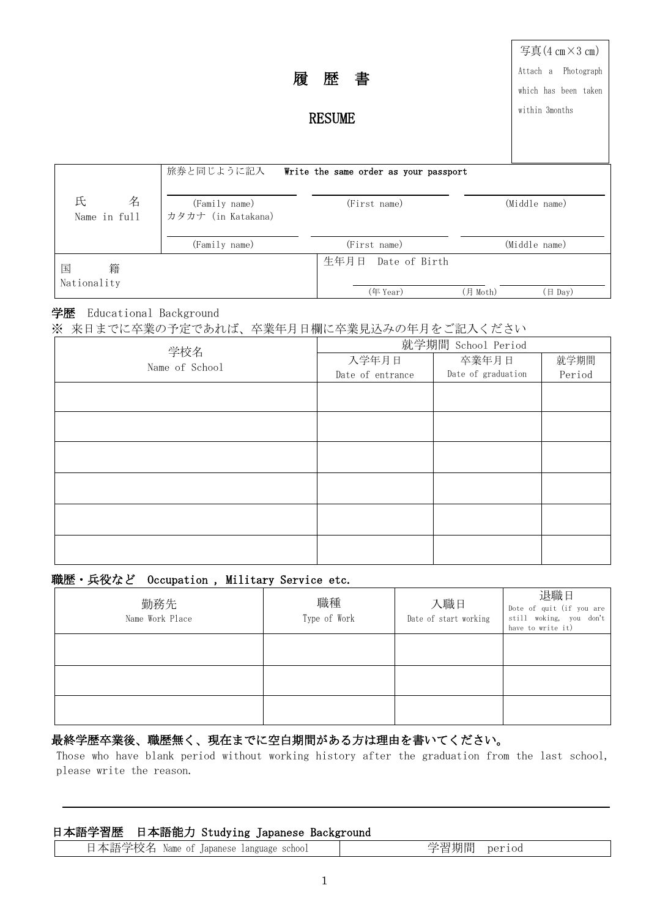|                        |                                     |                                       |                | 写真 $(4 \text{ cm} \times 3 \text{ cm})$ |
|------------------------|-------------------------------------|---------------------------------------|----------------|-----------------------------------------|
| 履                      |                                     | 歴<br>書                                |                | Attach a Photograph                     |
|                        |                                     |                                       |                | which has been taken                    |
| <b>RESUME</b>          |                                     |                                       | within 3months |                                         |
|                        |                                     |                                       |                |                                         |
|                        | 旅券と同じように記入                          | Write the same order as your passport |                |                                         |
| 氏<br>名<br>Name in full | (Family name)<br>カタカナ (in Katakana) | (First name)                          | (Middle name)  |                                         |
|                        | (Family name)                       | (First name)                          |                | (Middle name)                           |
| 籍<br>国                 |                                     | 生年月日<br>Date of Birth                 |                |                                         |
| Nationality            |                                     | (年 Year)                              | (月 Moth)       | (日 Day)                                 |

### 学歴 Educational Background

※ 来日までに卒業の予定であれば、卒業年月日欄に卒業見込みの年月をご記入ください

| 学校名            | 就学期間 School Period |                    |        |  |
|----------------|--------------------|--------------------|--------|--|
| Name of School | 入学年月日              | 卒業年月日              | 就学期間   |  |
|                | Date of entrance   | Date of graduation | Period |  |
|                |                    |                    |        |  |
|                |                    |                    |        |  |
|                |                    |                    |        |  |
|                |                    |                    |        |  |
|                |                    |                    |        |  |
|                |                    |                    |        |  |
|                |                    |                    |        |  |
|                |                    |                    |        |  |
|                |                    |                    |        |  |
|                |                    |                    |        |  |
|                |                    |                    |        |  |
|                |                    |                    |        |  |

## 職歴・兵役など Occupation , Military Service etc.

| 勤務先<br>Name Work Place | 職種<br>Type of Work | 入職日<br>Date of start working | 退職日<br>Dote of quit (if you are<br>still woking, you don't<br>have to write it) |
|------------------------|--------------------|------------------------------|---------------------------------------------------------------------------------|
|                        |                    |                              |                                                                                 |
|                        |                    |                              |                                                                                 |
|                        |                    |                              |                                                                                 |

## 最終学歴卒業後、職歴無く、現在までに空白期間がある方は理由を書いてください。

Those who have blank period without working history after the graduation from the last school, please write the reason.

| 日本語学習歴 日本語能力 Studying Japanese Background |  |  |
|-------------------------------------------|--|--|
|-------------------------------------------|--|--|